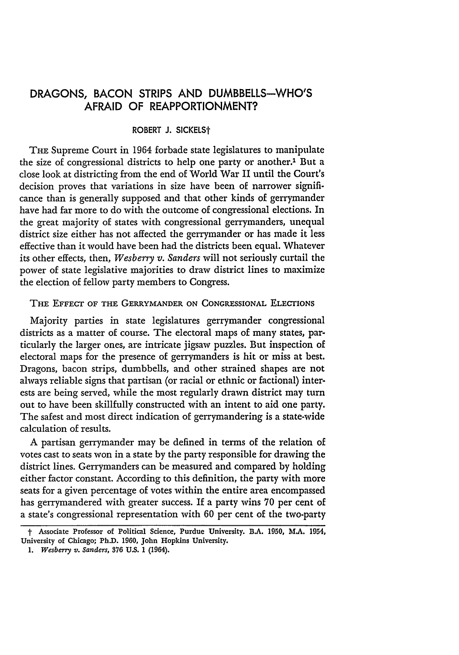## **DRAGONS, BACON** STRIPS **AND** DUMBBELLS-WHO'S AFRAID OF REAPPORTIONMENT?

## ROBERT **J.** SICKELSt

THE Supreme Court in 1964 forbade state legislatures to manipulate the size of congressional districts to help one party or another.' But a close look at districting from the end of World War II until the Court's decision proves that variations in size have been of narrower significance than is generally supposed and that other kinds of gerrymander have had far more to do with the outcome of congressional elections. In the great majority of states with congressional gerrymanders, unequal district size either has not affected the gerrymander or has made it less effective than it would have been had the districts been equal. Whatever its other effects, then, *Wesberry v. Sanders* will not seriously curtail the power of state legislative majorities to draw district lines to maximize the election of fellow party members to Congress.

## THE **EFFECT** OF **THE** GERRYMANDER **ON CONGRESSIONAL** ELECTIONS

Majority parties in state legislatures gerrymander congressional districts as a matter of course. The electoral maps of many states, particularly the larger ones, are intricate jigsaw puzzles. But inspection of electoral maps for the presence of gerrymanders is hit or miss at best. Dragons, bacon strips, dumbbells, and other strained shapes are not always reliable signs that partisan (or racial or ethnic or factional) interests are being served, while the most regularly drawn district may turn out to have been skillfully constructed with an intent to aid one party. The safest and most direct indication of gerrymandering is a state-wide calculation of results.

**A** partisan gerrymander may be defined in terms of the relation of votes cast to seats won in a state **by** the party responsible for drawing the district lines. Gerrymanders can be measured and compared **by** holding either factor constant. According to this definition, the party with more seats for a given percentage of votes within the entire area encompassed has gerrymandered with greater success. If a party wins **70** per cent of a state's congressional representation with **60** per cent of the two-party

t **Associate Professor of Political Science, Purdue University. B.A. 1950, MA. 1954, University of Chicago; Ph.D. 1960, John Hopkins University.**

*<sup>1.</sup> Wesberiy v. Sanders,* **876 U.S.** 1 (1964).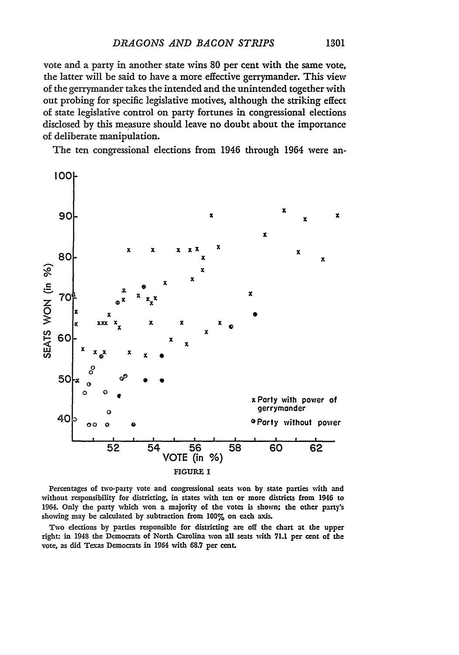vote and a party in another state wins 80 per cent with the same vote, the latter will be said to have a more effective gerrymander. This view of the gerrymander takes the intended and the unintended together with out probing for specific legislative motives, although the striking effect of state legislative control on party fortunes in congressional elections disclosed by this measure should leave no doubt about the importance of deliberate manipulation.

The ten congressional elections from 1946 through 1964 were an-



Percentages of two-party vote and congressional seats won **by** state parties with and without responsibility for districting, in states with ten or more districts from 1946 to 1964. Only the party which won a majority of the votes is shown; the other party's showing may be calculated by subtraction from **100%** on each axis.

Two elections **by** parties responsible for districting are off the chart at the upper right: in 1943 the Democrats of North Carolina won all seats with **71.1** per cent of the vote, as did Texas Democrats in 1964 with 68.7 per cent.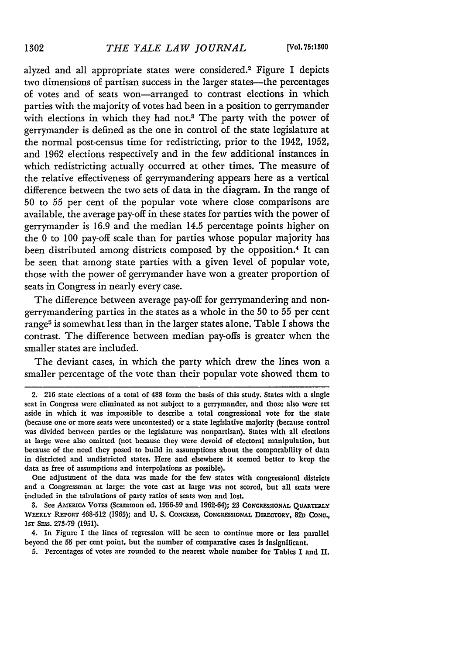alyzed and all appropriate states were considered.2 Figure I depicts two dimensions of partisan success in the larger states-the percentages of votes and of seats won-arranged to contrast elections in which parties with the majority of votes had been in a position to gerrymander with elections in which they had not.<sup>3</sup> The party with the power of gerrymander is defined as the one in control of the state legislature at the normal post-census time for redistricting, prior to the 1942, 1952, and 1962 elections respectively and in the few additional instances in which redistricting actually occurred at other times. The measure of the relative effectiveness of gerrymandering appears here as a vertical difference between the two sets of data in the diagram. In the range of 50 to 55 per cent of the popular vote where close comparisons are available, the average pay-off in these states for parties with the power of gerrymander is 16.9 and the median 14.5 percentage points higher on the 0 to 100 pay-off scale than for parties whose popular majority has been distributed among districts composed by the opposition.<sup>4</sup> It can be seen that among state parties with a given level of popular vote, those with the power of gerrymander have won a greater proportion of seats in Congress in nearly every case.

The difference between average pay-off for gerrymandering and nongerrymandering parties in the states as a whole in the **50** to **55** per cent range<sup>5</sup> is somewhat less than in the larger states alone. Table I shows the contrast. The difference between median pay-offs is greater when the smaller states are included.

The deviant cases, in which the party which drew the lines won a smaller percentage of the vote than their popular vote showed them to

One adjustment of the data was made for the few states with congressional districts and a Congressman at large: the vote cast at large was not scored, but all seats were included in the tabulations of party ratios of seats won and lost.

3. See AssElucA VomS (Scammon ed. **1956-59** and 1962-64); 23 **CONGRESSIONAL QUARTERLY WEEKLY REPORT 468-512 (1965);** and **U.** *S.* **CONGRESS,** *CONGRESSIONx* Dmaaroav, 82n **CoNG.,** Isr SEss. 273-79 **(1951).**

4. In Figure I the lines of regression will be seen to continue more or less parallel beyond the **55** per cent point, but the number of comparative cases is insignificant.

**5.** Percentages of votes are rounded to the nearest whole number for Tables I and II.

<sup>2.</sup> **216** state elections of a total of 488 form the basis of this study. States with a single seat in Congress were eliminated as not subject to a gerrymander, and those also were set aside in which it was impossible to describe a total congressional vote for the state (because one or more seats were uncontested) or a state legislative majority (because control was divided between parties or the legislature was nonpartisan). States with all elections at large were also omitted (not because they were devoid of electoral manipulation, but because of the need they posed to build in assumptions about the comparability of data in districted and undistricted states. Here and elsewhere it seemed better to **keep** the data as free of assumptions and interpolations as possible).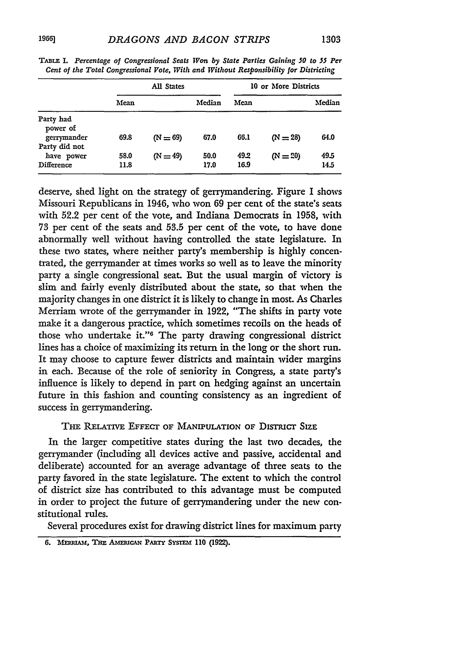|  | 1303 |  |  |
|--|------|--|--|
|--|------|--|--|

|                                           | All States   |            |              | 10 or More Districts |            |              |  |
|-------------------------------------------|--------------|------------|--------------|----------------------|------------|--------------|--|
|                                           | Mean         |            | Median       | Mean                 |            | Median       |  |
| Party had<br>power of<br>gerrymander      | 69.8         | $(N = 69)$ | 67.0         | 66.1                 | $(N = 28)$ | 64.0         |  |
| Party did not<br>have power<br>Difference | 58.0<br>11.8 | $(N = 49)$ | 50.0<br>17.0 | 49.2<br>16.9         | $(N = 20)$ | 49.5<br>14.5 |  |

TABLE I. *Percentage of Congressional Seats Won by State Parties Gaining 50 to 55* **Per** *Cent of the Total Congressional Vote, With and Without Responsibility for Districting*

deserve, shed light on the strategy of gerrymandering. Figure I shows Missouri Republicans in 1946, who won **69** per cent of the state's seats with 52.2 per cent of the vote, and Indiana Democrats in **1958,** with **73** per cent of the seats and **53.5** per cent of the vote, to have done abnormally well without having controlled the state legislature. In these two states, where neither party's membership is **highly** concentrated, the gerrymander at times works so well as to leave the minority party a single congressional seat. But the usual margin of victory is slim and fairly evenly distributed about the state, so that when the majority changes in one district it is likely to change in most. As Charles Merriam wrote of the gerrymander in **1922,** "The shifts in party vote make it a dangerous practice, which sometimes recoils on the heads of those who undertake it."<sup>6</sup> The party drawing congressional district lines has a choice of maximizing its return in the long or the short run. It may choose to capture fewer districts and maintain wider margins in each. Because of the role of seniority in Congress, a state party's influence is likely to depend in part on hedging against an uncertain future in this fashion and counting consistency as an ingredient of success in gerrymandering.

TIE RELATIVE EFFECr OF MANIPULATION **OF DISTRcr** SIZE

In the larger competitive states during the last **two** decades, the gerrymander (including all devices active and passive, accidental and deliberate) accounted for an average advantage of three seats to the party favored in the state legislature. The extent to which the control of district size has contributed to this advantage must be computed in order to project the future of gerrymandering under the new constitutional rules.

Several procedures exist for drawing district lines for maximum party

**<sup>6.</sup>** MTAER'., **THE** AMmEScAN **PARTY** *SYsTrm* **110 (1922).**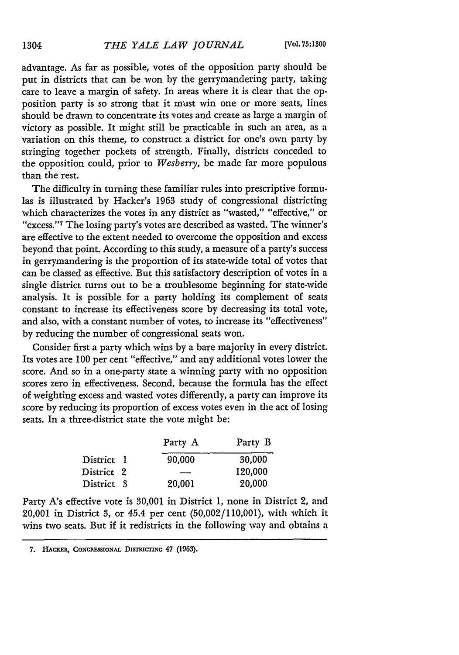advantage. As far as possible, votes of the opposition party should be put in districts that can be won by the gerrymandering party, taking care to leave a margin of safety. In areas where it is clear that the opposition party is so strong that it must win one or more seats, lines should be drawn to concentrate its votes and create as large a margin of victory as possible. It might still be practicable in such an area, as a variation on this theme, to construct a district for one's own party by stringing together pockets of strength. Finally, districts conceded to the opposition could, prior to *Wesberry,* be made far more populous than the rest.

The difficulty in turning these familiar rules into prescriptive formulas is illustrated by Hacker's 1963 study of congressional districting which characterizes the votes in any district as "wasted," "effective," or "excess."<sup>7</sup> The losing party's votes are described as wasted. The winner's are effective to the extent needed to overcome the opposition and excess beyond that point. According to this study, a measure of a party's success in gerrymandering is the proportion of its state-wide total of votes that can be classed as effective. But this satisfactory description of votes in a single district turns out to be a troublesome beginning for state-wide analysis. It is possible for a party holding its complement of seats constant to increase its effectiveness score by decreasing its total vote, and also, with a constant number of votes, to increase its "effectiveness" by reducing the number of congressional seats won.

Consider first a party which wins by a bare majority in every district. Its votes are 100 per cent "effective," and any additional votes lower the score. And so in a one-party state a winning party with no opposition scores zero in effectiveness. Second, because the formula has the effect of weighting excess and wasted votes differently, a party can improve its score by reducing its proportion of excess votes even in the act of losing seats. In a three-district state the vote might be:

|            |  | Party A | Party B |  |  |
|------------|--|---------|---------|--|--|
| District 1 |  | 90,000  | 30,000  |  |  |
| District 2 |  |         | 120.000 |  |  |
| District 3 |  | 20,001  | 20,000  |  |  |

Party *A's* effective vote is 30,001 in District 1, none in District 2, and 20,001 in District **3,** or 45.4 per cent (50,002/110,001), with which it wins two seats. But if it redistricts in the following way and obtains a

<sup>7.</sup> HACKER, CONGRESSIONAL DISTRICTING 47 (1963).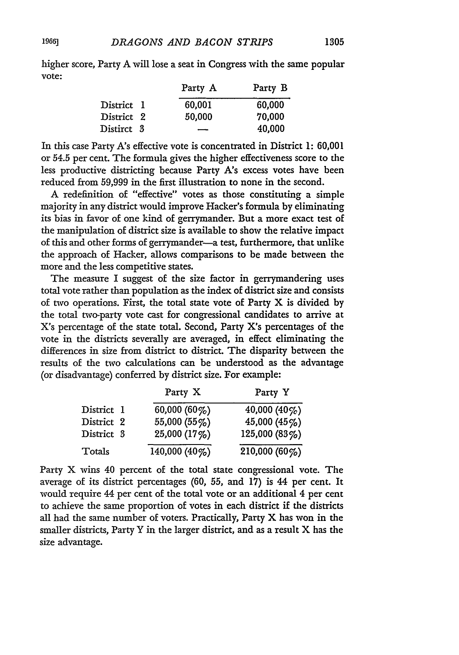higher score, Party A will lose a seat in Congress with the same popular vote:

|            | Party A                  | Party B |
|------------|--------------------------|---------|
| District 1 | 60,001                   | 60,000  |
| District 2 | 50,000                   | 70,000  |
| Distirct 3 | $\overline{\phantom{a}}$ | 40,000  |

In this case Party A's effective vote is concentrated in District 1: 60,001 or 54.5 per cent. The formula gives the higher effectiveness score to the less productive districting because Party *A's* excess votes have been reduced from 59,999 in the first illustration to none in the second.

A redefinition of "effective" votes as those constituting a simple majority in any district would improve Hacker's formula by eliminating its bias in favor of one kind of gerrymander. But a more exact test of the manipulation of district size is available to show the relative impact of this and other forms of gerrymander-a test, furthermore, that unlike the approach of Hacker, allows comparisons to be made between the more and the less competitive states.

The measure I suggest of the size factor in gerrymandering uses total vote rather than population as the index of district size and consists of two operations. First, the total state vote of Party X is divided by the total two-party vote cast for congressional candidates to arrive at X's percentage of the state total. Second, Party *X's* percentages of the vote in the districts severally are averaged, in effect eliminating the differences in size from district to district. The disparity betveen the results of the two calculations can be understood as the advantage (or disadvantage) conferred by district size. For example:

|            | Party X       | Party Y       |
|------------|---------------|---------------|
| District 1 | 60,000 (60%)  | 40,000 (40%)  |
| District 2 | 55,000 (55%)  | 45,000 (45%)  |
| District 3 | 25,000 (17%)  | 125,000 (83%) |
| Totals     | 140,000 (40%) | 210,000 (60%) |

Party X wins 40 percent of the total state congressional vote. The average of its district percentages (60, 55, and 17) is 44 per cent. It would require 44 per cent of the total vote or an additional 4 per cent to achieve the same proportion of votes in each district if the districts all had the same number of voters. Practically, Party X has won in the smaller districts, Party Y in the larger district, and as a result X has the size advantage.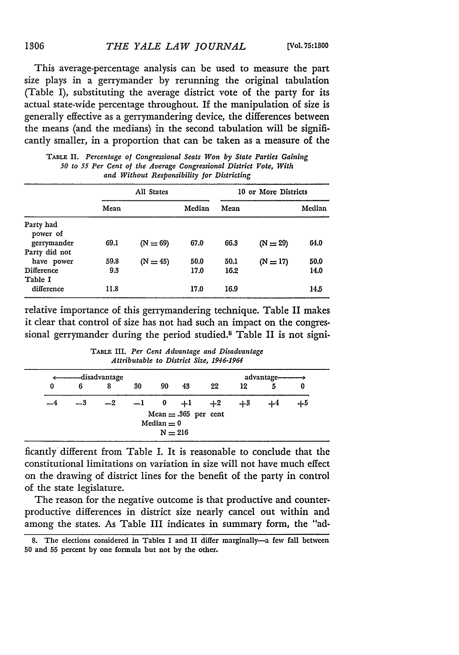This average-percentage analysis can be used to measure the part size plays in a gerrymander by rerunning the original tabulation (Table I), substituting the average district vote of the party for its actual state-wide percentage throughout. If the manipulation of size is generally effective as a gerrymandering device, the differences between the means (and the medians) in the second tabulation will be significantly smaller, in a proportion that can be taken as a measure of the

|                       | All States |            |        | 10 or More Districts |            |        |  |
|-----------------------|------------|------------|--------|----------------------|------------|--------|--|
|                       | Mean       |            | Median | Mean                 |            | Median |  |
| Party had<br>power of |            |            |        |                      |            |        |  |
| gerrymander           | 69.1       | $(N = 69)$ | 67.0   | 66.3                 | $(N = 29)$ | 64.0   |  |
| Party did not         |            |            |        |                      |            |        |  |
| have power            | 59.8       | $(N = 45)$ | 50.0   | 50.1                 | $(N=17)$   | 50.0   |  |
| Difference            | 9.3        |            | 17.0   | 16.2                 |            | 14.0   |  |
| Table I               |            |            |        |                      |            |        |  |
| difference            | 11.8       |            | 17.0   | 16.9                 |            | 14.5   |  |

TABLE II. *Percentage of Congressional Seats Won by State Parties Gaining 50 to 55 Per Cent of the Average Congressional District Vote, With and Without Responsibility for Districting*

relative importance of this gerrymandering technique. Table II makes it clear that control of size has not had such an impact on the congressional gerrymander during the period studied.<sup>8</sup> Table II is not signi-

|   |      | ——disadvantage |        |              |                                     |      |      | advantage- |      |
|---|------|----------------|--------|--------------|-------------------------------------|------|------|------------|------|
| 0 | 6    | 8              | 30     | 90           | 43                                  | 22   | 12   | 5          | 0    |
|   | $-3$ | $-2$           | $-1$ 0 |              | $+1$                                | $+2$ | -1-3 |            | -1-5 |
|   |      |                |        | Median $= 0$ | Mean $= .365$ per cent<br>$N = 216$ |      |      |            |      |

**TABLE** III. *Per Cent Advantage and Disadvantage Attributable to District Size, 1946-1964*

ficantly different from Table I. It is reasonable to conclude that the constitutional limitations on variation in size will not have much effect on the drawing of district lines for the benefit of the party in control of the state legislature.

The reason for the negative outcome is that productive and counterproductive differences in district size nearly cancel out within and among the states. As Table III indicates in summary form, the "ad-

**<sup>8.</sup>** The elections considered in Tables I and **II** differ marginally-a few fall between **50** and **55** percent by one formula but not **by** the other.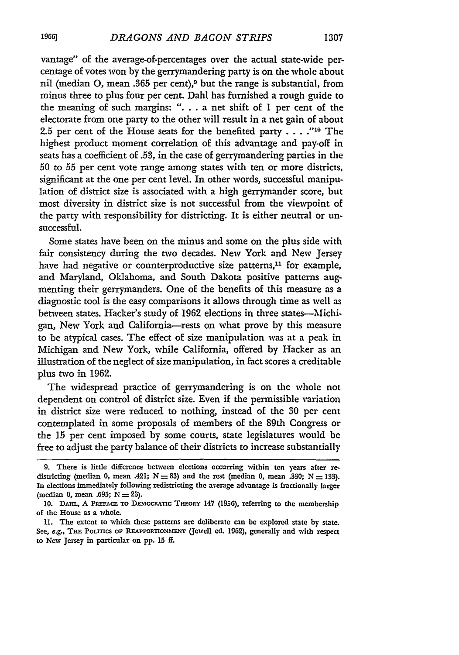vantage" of the average-of-percentages over the actual state-wide percentage of votes won **by** the gerrymandering party is on the whole about nil (median **0,** mean **.365** per cent),9 but the range is substantial, from minus three to plus four per cent. Dahl has furnished a rough guide to the meaning of such margins: **". . .** a net shift of 1 per cent of the electorate from one party to the other will result in a net gain of about **2.5** per cent of the House seats for the benefited party **.... "10** The highest product moment correlation of this advantage and pay-off in seats has a coefficient of **.53,** in the case of gerrymandering parties in the **50** to **55** per cent vote range among states with ten or more districts, significant at the one per cent level. In other words, successful manipulation of district size is associated with a high gerrymander score, but most diversity in district size is not successful from the viewpoint of the party with responsibility for districting. It is either neutral or unsuccessful.

Some states have been on the minus and some on the plus side with fair consistency during the two decades. New York and New Jersey have had negative or counterproductive size patterns, $<sup>11</sup>$  for example,</sup> and Maryland, Oklahoma, and South Dakota positive patterns augmenting their gerrymanders. One of the benefits of this measure as a diagnostic tool is the easy comparisons it allows through time as well as between states. Hacker's study of **1962** elections in three states--Michigan, New York and California-rests on what prove **by** this measure to be atypical cases. The effect of size manipulation was at a peak in Michigan and New York, while California, offered **by** Hacker as an illustration of the neglect of size manipulation, in fact scores a creditable plus two in 1962.

The widespread practice of gerrymandering is on the whole not dependent on control of district size. Even if the permissible variation in district size were reduced to nothing, instead of the **30** per cent contemplated in some proposals of members of the 89th Congress or the **15** per cent imposed **by** some courts, state legislatures would be free to adjust the party balance of their districts to increase substantially

**<sup>9.</sup>** There is little difference between elections occurring within ten years after redistricting (median 0, mean .421;  $N = 83$ ) and the rest (median 0, mean .330;  $N = 133$ ). In elections immediately following redistricting the average advantage is fractionally larger (median **0,** mean **.695;** N **=** 23).

<sup>10.</sup> DAHL, A PREFACE TO DEMOCRATIC THEORY 147 (1956), referring to the membership of the House as a whole.

**<sup>11.</sup>** The extent to which these patterns are deliberate can **be** explored state **by** state. See, **e.g.,** THE **PoLrncs** oF *P.IAPPORTONmNT* (Jewell **ed.** 1962), generally and with respect to New Jersey in particular on **pp. 15 if.**